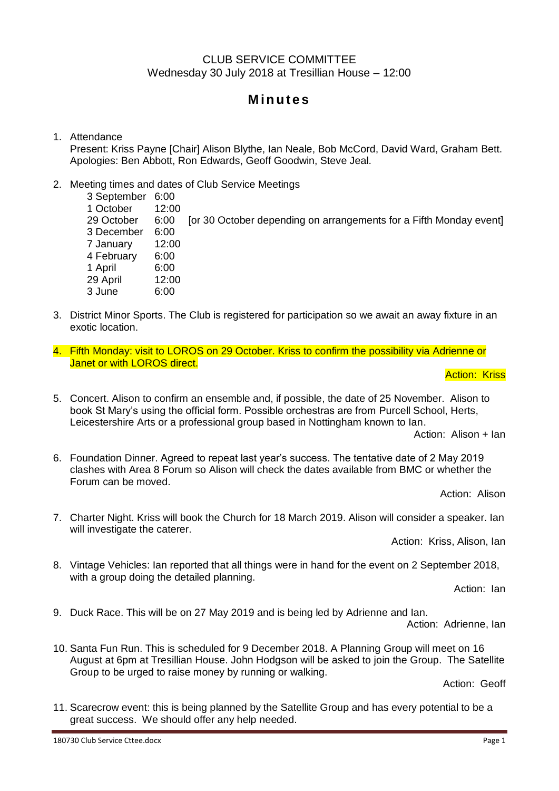## CLUB SERVICE COMMITTEE Wednesday 30 July 2018 at Tresillian House – 12:00

# **M in u te s**

### 1. Attendance

Present: Kriss Payne [Chair] Alison Blythe, Ian Neale, Bob McCord, David Ward, Graham Bett. Apologies: Ben Abbott, Ron Edwards, Geoff Goodwin, Steve Jeal.

### 2. Meeting times and dates of Club Service Meetings

3 September 6:00 1 October 12:00 29 October 6:00 [or 30 October depending on arrangements for a Fifth Monday event] 3 December 6:00 7 January 12:00 4 February 6:00 1 April 6:00 29 April 12:00 3 June 6:00

- 3. District Minor Sports. The Club is registered for participation so we await an away fixture in an exotic location.
- 4. Fifth Monday: visit to LOROS on 29 October. Kriss to confirm the possibility via Adrienne or Janet or with LOROS direct.

**Action: Kriss** 

5. Concert. Alison to confirm an ensemble and, if possible, the date of 25 November. Alison to book St Mary's using the official form. Possible orchestras are from Purcell School, Herts, Leicestershire Arts or a professional group based in Nottingham known to Ian.

Action: Alison + Ian

6. Foundation Dinner. Agreed to repeat last year's success. The tentative date of 2 May 2019 clashes with Area 8 Forum so Alison will check the dates available from BMC or whether the Forum can be moved.

Action: Alison

7. Charter Night. Kriss will book the Church for 18 March 2019. Alison will consider a speaker. Ian will investigate the caterer.

Action: Kriss, Alison, Ian

8. Vintage Vehicles: Ian reported that all things were in hand for the event on 2 September 2018, with a group doing the detailed planning.

Action: Ian

9. Duck Race. This will be on 27 May 2019 and is being led by Adrienne and Ian.

Action: Adrienne, Ian

10. Santa Fun Run. This is scheduled for 9 December 2018. A Planning Group will meet on 16 August at 6pm at Tresillian House. John Hodgson will be asked to join the Group. The Satellite Group to be urged to raise money by running or walking.

Action: Geoff

11. Scarecrow event: this is being planned by the Satellite Group and has every potential to be a great success. We should offer any help needed.